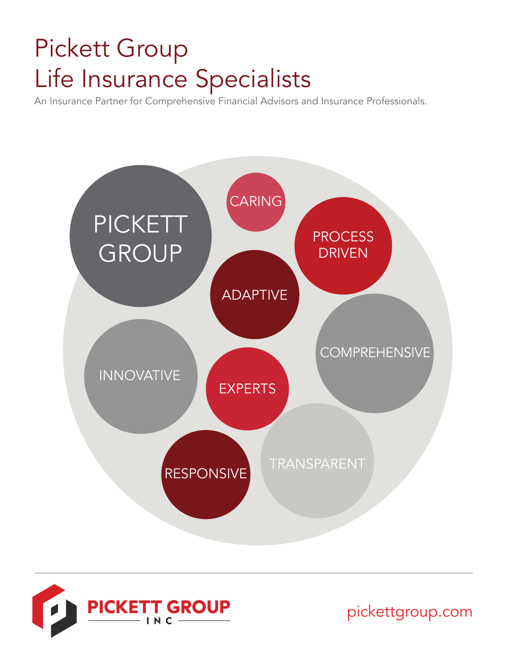# Pickett Group Life Insurance Specialists

An Insurance Partner for Comprehensive Financial Advisors and Insurance Professionals.



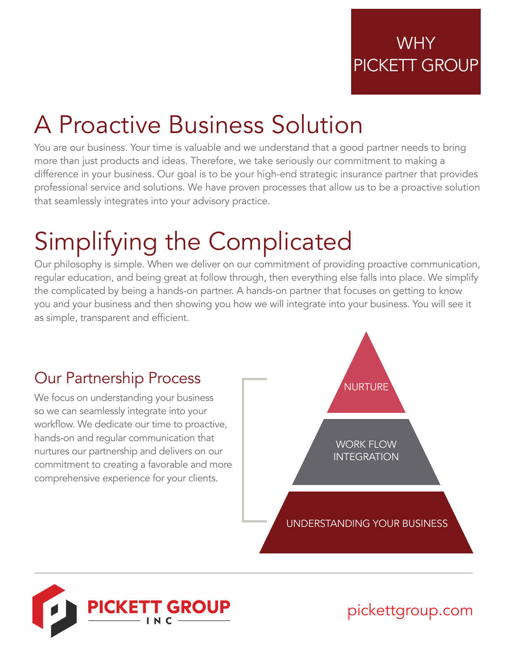# A Proactive Business Solution

You are our business. Your time is valuable and we understand that a good partner needs to bring more than just products and ideas. Therefore, we take seriously our commitment to making a difference in your business. Our goal is to be your high-end strategic insurance partner that provides professional service and solutions. We have proven processes that allow us to be a proactive solution that seamlessly integrates into your advisory practice.

# Simplifying the Complicated

Our philosophy is simple. When we deliver on our commitment of providing proactive communication, regular education, and being great at follow through, then everything else falls into place. We simplify the complicated by being a hands-on partner. A hands-on partner that focuses on getting to know you and your business and then showing you how we will integrate into your business. You will see it as simple, transparent and efficient.

#### Our Partnership Process

We focus on understanding your business so we can seamlessly integrate into your workflow. We dedicate our time to proactive, hands-on and regular communication that nurtures our partnership and delivers on our commitment to creating a favorable and more comprehensive experience for your clients.



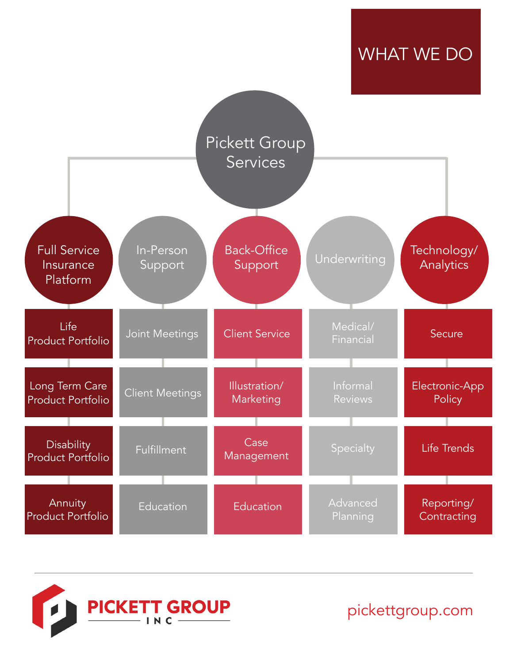### WHAT WE DO